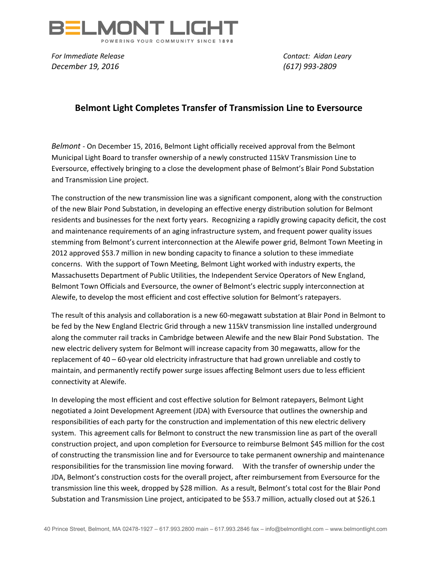

*For Immediate Release Contact: Aidan Leary December 19, 2016 (617) 993-2809*

## **Belmont Light Completes Transfer of Transmission Line to Eversource**

*Belmont -* On December 15, 2016, Belmont Light officially received approval from the Belmont Municipal Light Board to transfer ownership of a newly constructed 115kV Transmission Line to Eversource, effectively bringing to a close the development phase of Belmont's Blair Pond Substation and Transmission Line project.

The construction of the new transmission line was a significant component, along with the construction of the new Blair Pond Substation, in developing an effective energy distribution solution for Belmont residents and businesses for the next forty years. Recognizing a rapidly growing capacity deficit, the cost and maintenance requirements of an aging infrastructure system, and frequent power quality issues stemming from Belmont's current interconnection at the Alewife power grid, Belmont Town Meeting in 2012 approved \$53.7 million in new bonding capacity to finance a solution to these immediate concerns. With the support of Town Meeting, Belmont Light worked with industry experts, the Massachusetts Department of Public Utilities, the Independent Service Operators of New England, Belmont Town Officials and Eversource, the owner of Belmont's electric supply interconnection at Alewife, to develop the most efficient and cost effective solution for Belmont's ratepayers.

The result of this analysis and collaboration is a new 60-megawatt substation at Blair Pond in Belmont to be fed by the New England Electric Grid through a new 115kV transmission line installed underground along the commuter rail tracks in Cambridge between Alewife and the new Blair Pond Substation. The new electric delivery system for Belmont will increase capacity from 30 megawatts, allow for the replacement of 40 – 60-year old electricity infrastructure that had grown unreliable and costly to maintain, and permanently rectify power surge issues affecting Belmont users due to less efficient connectivity at Alewife.

In developing the most efficient and cost effective solution for Belmont ratepayers, Belmont Light negotiated a Joint Development Agreement (JDA) with Eversource that outlines the ownership and responsibilities of each party for the construction and implementation of this new electric delivery system. This agreement calls for Belmont to construct the new transmission line as part of the overall construction project, and upon completion for Eversource to reimburse Belmont \$45 million for the cost of constructing the transmission line and for Eversource to take permanent ownership and maintenance responsibilities for the transmission line moving forward. With the transfer of ownership under the JDA, Belmont's construction costs for the overall project, after reimbursement from Eversource for the transmission line this week, dropped by \$28 million. As a result, Belmont's total cost for the Blair Pond Substation and Transmission Line project, anticipated to be \$53.7 million, actually closed out at \$26.1